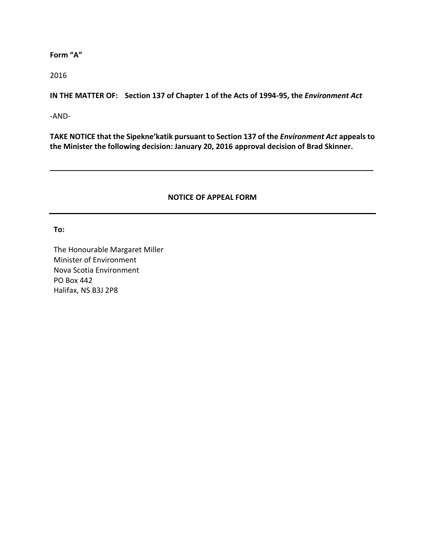**Form "A"**

2016

**IN THE MATTER OF: Section 137 of Chapter 1 of the Acts of 1994-95, the** *Environment Act*

-AND-

**TAKE NOTICE that the Sipekne'katik pursuant to Section 137 of the** *Environment Act* **appeals to the Minister the following decision: January 20, 2016 approval decision of Brad Skinner.**

**\_\_\_\_\_\_\_\_\_\_\_\_\_\_\_\_\_\_\_\_\_\_\_\_\_\_\_\_\_\_\_\_\_\_\_\_\_\_\_\_\_\_\_\_\_\_\_\_\_\_\_\_\_\_\_\_\_\_\_\_\_\_\_\_\_\_\_\_\_\_\_\_\_\_\_\_\_\_**

#### **NOTICE OF APPEAL FORM**

**To:**

The Honourable Margaret Miller Minister of Environment Nova Scotia Environment PO Box 442 Halifax, NS B3J 2P8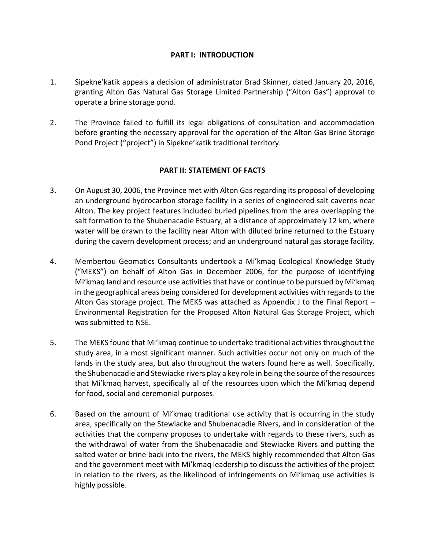# **PART I: INTRODUCTION**

- 1. Sipekne'katik appeals a decision of administrator Brad Skinner, dated January 20, 2016, granting Alton Gas Natural Gas Storage Limited Partnership ("Alton Gas") approval to operate a brine storage pond.
- 2. The Province failed to fulfill its legal obligations of consultation and accommodation before granting the necessary approval for the operation of the Alton Gas Brine Storage Pond Project ("project") in Sipekne'katik traditional territory.

# **PART II: STATEMENT OF FACTS**

- 3. On August 30, 2006, the Province met with Alton Gas regarding its proposal of developing an underground hydrocarbon storage facility in a series of engineered salt caverns near Alton. The key project features included buried pipelines from the area overlapping the salt formation to the Shubenacadie Estuary, at a distance of approximately 12 km, where water will be drawn to the facility near Alton with diluted brine returned to the Estuary during the cavern development process; and an underground natural gas storage facility.
- 4. Membertou Geomatics Consultants undertook a Mi'kmaq Ecological Knowledge Study ("MEKS") on behalf of Alton Gas in December 2006, for the purpose of identifying Mi'kmaq land and resource use activities that have or continue to be pursued by Mi'kmaq in the geographical areas being considered for development activities with regards to the Alton Gas storage project. The MEKS was attached as Appendix J to the Final Report – Environmental Registration for the Proposed Alton Natural Gas Storage Project, which was submitted to NSE.
- 5. The MEKS found that Mi'kmaq continue to undertake traditional activities throughout the study area, in a most significant manner. Such activities occur not only on much of the lands in the study area, but also throughout the waters found here as well. Specifically, the Shubenacadie and Stewiacke rivers play a key role in being the source of the resources that Mi'kmaq harvest, specifically all of the resources upon which the Mi'kmaq depend for food, social and ceremonial purposes.
- 6. Based on the amount of Mi'kmaq traditional use activity that is occurring in the study area, specifically on the Stewiacke and Shubenacadie Rivers, and in consideration of the activities that the company proposes to undertake with regards to these rivers, such as the withdrawal of water from the Shubenacadie and Stewiacke Rivers and putting the salted water or brine back into the rivers, the MEKS highly recommended that Alton Gas and the government meet with Mi'kmaq leadership to discuss the activities of the project in relation to the rivers, as the likelihood of infringements on Mi'kmaq use activities is highly possible.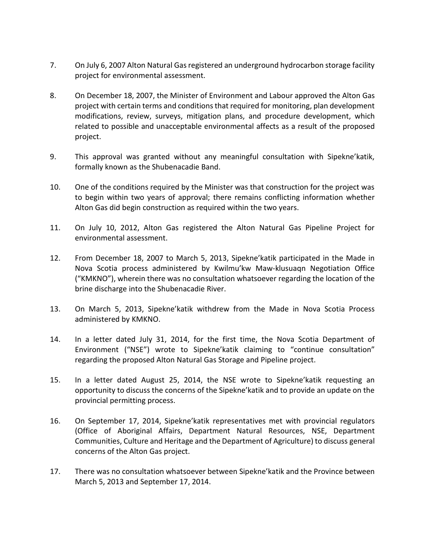- 7. On July 6, 2007 Alton Natural Gas registered an underground hydrocarbon storage facility project for environmental assessment.
- 8. On December 18, 2007, the Minister of Environment and Labour approved the Alton Gas project with certain terms and conditions that required for monitoring, plan development modifications, review, surveys, mitigation plans, and procedure development, which related to possible and unacceptable environmental affects as a result of the proposed project.
- 9. This approval was granted without any meaningful consultation with Sipekne'katik, formally known as the Shubenacadie Band.
- 10. One of the conditions required by the Minister was that construction for the project was to begin within two years of approval; there remains conflicting information whether Alton Gas did begin construction as required within the two years.
- 11. On July 10, 2012, Alton Gas registered the Alton Natural Gas Pipeline Project for environmental assessment.
- 12. From December 18, 2007 to March 5, 2013, Sipekne'katik participated in the Made in Nova Scotia process administered by Kwilmu'kw Maw-klusuaqn Negotiation Office ("KMKNO"), wherein there was no consultation whatsoever regarding the location of the brine discharge into the Shubenacadie River.
- 13. On March 5, 2013, Sipekne'katik withdrew from the Made in Nova Scotia Process administered by KMKNO.
- 14. In a letter dated July 31, 2014, for the first time, the Nova Scotia Department of Environment ("NSE") wrote to Sipekne'katik claiming to "continue consultation" regarding the proposed Alton Natural Gas Storage and Pipeline project.
- 15. In a letter dated August 25, 2014, the NSE wrote to Sipekne'katik requesting an opportunity to discuss the concerns of the Sipekne'katik and to provide an update on the provincial permitting process.
- 16. On September 17, 2014, Sipekne'katik representatives met with provincial regulators (Office of Aboriginal Affairs, Department Natural Resources, NSE, Department Communities, Culture and Heritage and the Department of Agriculture) to discuss general concerns of the Alton Gas project.
- 17. There was no consultation whatsoever between Sipekne'katik and the Province between March 5, 2013 and September 17, 2014.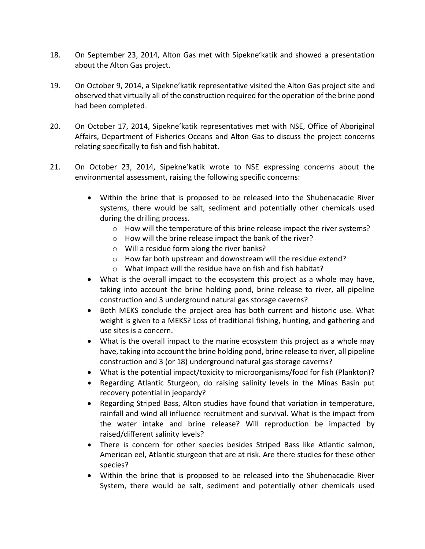- 18. On September 23, 2014, Alton Gas met with Sipekne'katik and showed a presentation about the Alton Gas project.
- 19. On October 9, 2014, a Sipekne'katik representative visited the Alton Gas project site and observed that virtually all of the construction required for the operation of the brine pond had been completed.
- 20. On October 17, 2014, Sipekne'katik representatives met with NSE, Office of Aboriginal Affairs, Department of Fisheries Oceans and Alton Gas to discuss the project concerns relating specifically to fish and fish habitat.
- 21. On October 23, 2014, Sipekne'katik wrote to NSE expressing concerns about the environmental assessment, raising the following specific concerns:
	- Within the brine that is proposed to be released into the Shubenacadie River systems, there would be salt, sediment and potentially other chemicals used during the drilling process.
		- o How will the temperature of this brine release impact the river systems?
		- o How will the brine release impact the bank of the river?
		- o Will a residue form along the river banks?
		- o How far both upstream and downstream will the residue extend?
		- o What impact will the residue have on fish and fish habitat?
	- What is the overall impact to the ecosystem this project as a whole may have, taking into account the brine holding pond, brine release to river, all pipeline construction and 3 underground natural gas storage caverns?
	- Both MEKS conclude the project area has both current and historic use. What weight is given to a MEKS? Loss of traditional fishing, hunting, and gathering and use sites is a concern.
	- What is the overall impact to the marine ecosystem this project as a whole may have, taking into account the brine holding pond, brine release to river, all pipeline construction and 3 (or 18) underground natural gas storage caverns?
	- What is the potential impact/toxicity to microorganisms/food for fish (Plankton)?
	- Regarding Atlantic Sturgeon, do raising salinity levels in the Minas Basin put recovery potential in jeopardy?
	- Regarding Striped Bass, Alton studies have found that variation in temperature, rainfall and wind all influence recruitment and survival. What is the impact from the water intake and brine release? Will reproduction be impacted by raised/different salinity levels?
	- There is concern for other species besides Striped Bass like Atlantic salmon, American eel, Atlantic sturgeon that are at risk. Are there studies for these other species?
	- Within the brine that is proposed to be released into the Shubenacadie River System, there would be salt, sediment and potentially other chemicals used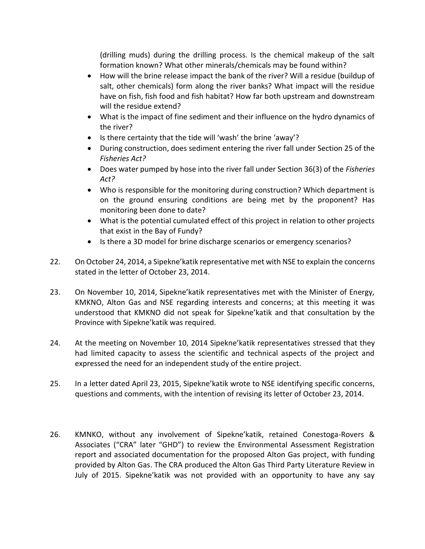(drilling muds) during the drilling process. Is the chemical makeup of the salt formation known? What other minerals/chemicals may be found within?

- How will the brine release impact the bank of the river? Will a residue (buildup of salt, other chemicals) form along the river banks? What impact will the residue have on fish, fish food and fish habitat? How far both upstream and downstream will the residue extend?
- What is the impact of fine sediment and their influence on the hydro dynamics of the river?
- Is there certainty that the tide will 'wash' the brine 'away'?
- During construction, does sediment entering the river fall under Section 25 of the *Fisheries Act?*
- Does water pumped by hose into the river fall under Section 36(3) of the *Fisheries Act?*
- Who is responsible for the monitoring during construction? Which department is on the ground ensuring conditions are being met by the proponent? Has monitoring been done to date?
- What is the potential cumulated effect of this project in relation to other projects that exist in the Bay of Fundy?
- Is there a 3D model for brine discharge scenarios or emergency scenarios?
- 22. On October 24, 2014, a Sipekne'katik representative met with NSE to explain the concerns stated in the letter of October 23, 2014.
- 23. On November 10, 2014, Sipekne'katik representatives met with the Minister of Energy, KMKNO, Alton Gas and NSE regarding interests and concerns; at this meeting it was understood that KMKNO did not speak for Sipekne'katik and that consultation by the Province with Sipekne'katik was required.
- 24. At the meeting on November 10, 2014 Sipekne' katik representatives stressed that they had limited capacity to assess the scientific and technical aspects of the project and expressed the need for an independent study of the entire project.
- 25. In a letter dated April 23, 2015, Sipekne'katik wrote to NSE identifying specific concerns, questions and comments, with the intention of revising its letter of October 23, 2014.
- 26. KMNKO, without any involvement of Sipekne'katik, retained Conestoga-Rovers & Associates ("CRA" later "GHD") to review the Environmental Assessment Registration report and associated documentation for the proposed Alton Gas project, with funding provided by Alton Gas. The CRA produced the Alton Gas Third Party Literature Review in July of 2015. Sipekne'katik was not provided with an opportunity to have any say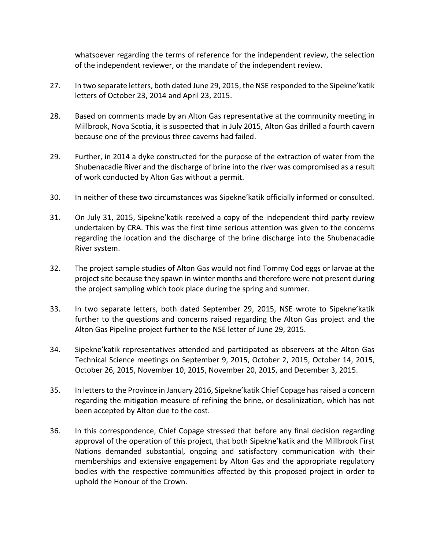whatsoever regarding the terms of reference for the independent review, the selection of the independent reviewer, or the mandate of the independent review.

- 27. In two separate letters, both dated June 29, 2015, the NSE responded to the Sipekne'katik letters of October 23, 2014 and April 23, 2015.
- 28. Based on comments made by an Alton Gas representative at the community meeting in Millbrook, Nova Scotia, it is suspected that in July 2015, Alton Gas drilled a fourth cavern because one of the previous three caverns had failed.
- 29. Further, in 2014 a dyke constructed for the purpose of the extraction of water from the Shubenacadie River and the discharge of brine into the river was compromised as a result of work conducted by Alton Gas without a permit.
- 30. In neither of these two circumstances was Sipekne'katik officially informed or consulted.
- 31. On July 31, 2015, Sipekne'katik received a copy of the independent third party review undertaken by CRA. This was the first time serious attention was given to the concerns regarding the location and the discharge of the brine discharge into the Shubenacadie River system.
- 32. The project sample studies of Alton Gas would not find Tommy Cod eggs or larvae at the project site because they spawn in winter months and therefore were not present during the project sampling which took place during the spring and summer.
- 33. In two separate letters, both dated September 29, 2015, NSE wrote to Sipekne'katik further to the questions and concerns raised regarding the Alton Gas project and the Alton Gas Pipeline project further to the NSE letter of June 29, 2015.
- 34. Sipekne'katik representatives attended and participated as observers at the Alton Gas Technical Science meetings on September 9, 2015, October 2, 2015, October 14, 2015, October 26, 2015, November 10, 2015, November 20, 2015, and December 3, 2015.
- 35. In letters to the Province in January 2016, Sipekne'katik Chief Copage hasraised a concern regarding the mitigation measure of refining the brine, or desalinization, which has not been accepted by Alton due to the cost.
- 36. In this correspondence, Chief Copage stressed that before any final decision regarding approval of the operation of this project, that both Sipekne'katik and the Millbrook First Nations demanded substantial, ongoing and satisfactory communication with their memberships and extensive engagement by Alton Gas and the appropriate regulatory bodies with the respective communities affected by this proposed project in order to uphold the Honour of the Crown.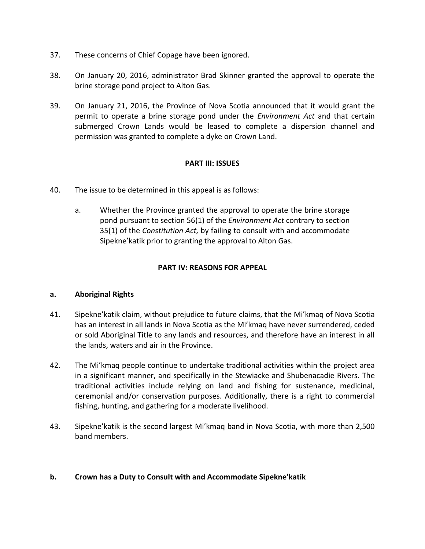- 37. These concerns of Chief Copage have been ignored.
- 38. On January 20, 2016, administrator Brad Skinner granted the approval to operate the brine storage pond project to Alton Gas.
- 39. On January 21, 2016, the Province of Nova Scotia announced that it would grant the permit to operate a brine storage pond under the *Environment Act* and that certain submerged Crown Lands would be leased to complete a dispersion channel and permission was granted to complete a dyke on Crown Land.

### **PART III: ISSUES**

- 40. The issue to be determined in this appeal is as follows:
	- a. Whether the Province granted the approval to operate the brine storage pond pursuant to section 56(1) of the *Environment Act* contrary to section 35(1) of the *Constitution Act,* by failing to consult with and accommodate Sipekne'katik prior to granting the approval to Alton Gas.

# **PART IV: REASONS FOR APPEAL**

### **a. Aboriginal Rights**

- 41. Sipekne'katik claim, without prejudice to future claims, that the Mi'kmaq of Nova Scotia has an interest in all lands in Nova Scotia as the Mi'kmaq have never surrendered, ceded or sold Aboriginal Title to any lands and resources, and therefore have an interest in all the lands, waters and air in the Province.
- 42. The Mi'kmaq people continue to undertake traditional activities within the project area in a significant manner, and specifically in the Stewiacke and Shubenacadie Rivers. The traditional activities include relying on land and fishing for sustenance, medicinal, ceremonial and/or conservation purposes. Additionally, there is a right to commercial fishing, hunting, and gathering for a moderate livelihood.
- 43. Sipekne'katik is the second largest Mi'kmaq band in Nova Scotia, with more than 2,500 band members.

### **b. Crown has a Duty to Consult with and Accommodate Sipekne'katik**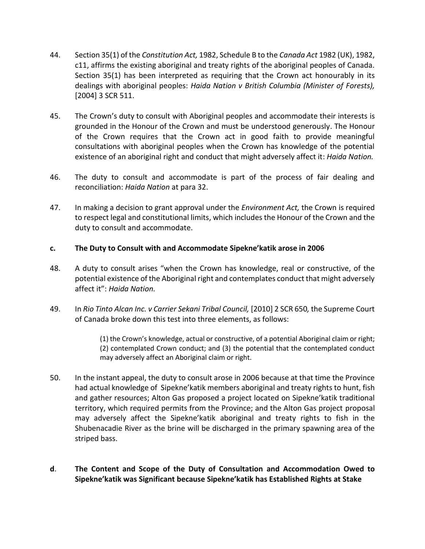- 44. Section 35(1) of the *Constitution Act,* 1982, Schedule B to the *Canada Act* 1982 (UK), 1982, c11, affirms the existing aboriginal and treaty rights of the aboriginal peoples of Canada. Section 35(1) has been interpreted as requiring that the Crown act honourably in its dealings with aboriginal peoples: *Haida Nation v British Columbia (Minister of Forests),*  [2004] 3 SCR 511.
- 45. The Crown's duty to consult with Aboriginal peoples and accommodate their interests is grounded in the Honour of the Crown and must be understood generously. The Honour of the Crown requires that the Crown act in good faith to provide meaningful consultations with aboriginal peoples when the Crown has knowledge of the potential existence of an aboriginal right and conduct that might adversely affect it: *Haida Nation.*
- 46. The duty to consult and accommodate is part of the process of fair dealing and reconciliation: *Haida Nation* at para 32.
- 47. In making a decision to grant approval under the *Environment Act,* the Crown is required to respect legal and constitutional limits, which includes the Honour of the Crown and the duty to consult and accommodate.

# **c. The Duty to Consult with and Accommodate Sipekne'katik arose in 2006**

- 48. A duty to consult arises "when the Crown has knowledge, real or constructive, of the potential existence of the Aboriginal right and contemplates conduct that might adversely affect it": *Haida Nation.*
- 49. In *Rio Tinto Alcan Inc. v Carrier Sekani Tribal Council,* [2010] 2 SCR 650*,* the Supreme Court of Canada broke down this test into three elements, as follows:

(1) the Crown's knowledge, actual or constructive, of a potential Aboriginal claim or right; (2) contemplated Crown conduct; and (3) the potential that the contemplated conduct may adversely affect an Aboriginal claim or right.

- 50. In the instant appeal, the duty to consult arose in 2006 because at that time the Province had actual knowledge of Sipekne'katik members aboriginal and treaty rights to hunt, fish and gather resources; Alton Gas proposed a project located on Sipekne'katik traditional territory, which required permits from the Province; and the Alton Gas project proposal may adversely affect the Sipekne'katik aboriginal and treaty rights to fish in the Shubenacadie River as the brine will be discharged in the primary spawning area of the striped bass.
- **d**. **The Content and Scope of the Duty of Consultation and Accommodation Owed to Sipekne'katik was Significant because Sipekne'katik has Established Rights at Stake**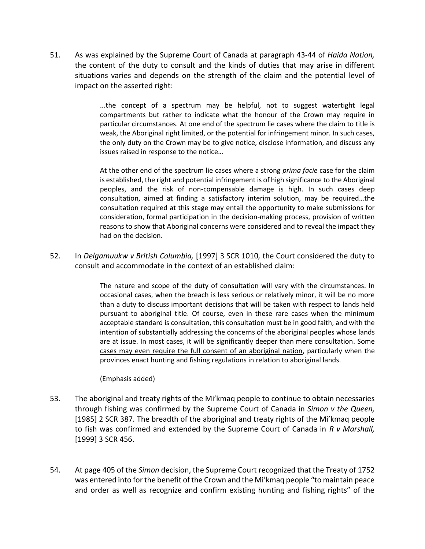51. As was explained by the Supreme Court of Canada at paragraph 43-44 of *Haida Nation,*  the content of the duty to consult and the kinds of duties that may arise in different situations varies and depends on the strength of the claim and the potential level of impact on the asserted right:

> ...the concept of a spectrum may be helpful, not to suggest watertight legal compartments but rather to indicate what the honour of the Crown may require in particular circumstances. At one end of the spectrum lie cases where the claim to title is weak, the Aboriginal right limited, or the potential for infringement minor. In such cases, the only duty on the Crown may be to give notice, disclose information, and discuss any issues raised in response to the notice…

> At the other end of the spectrum lie cases where a strong *prima facie* case for the claim is established, the right and potential infringement is of high significance to the Aboriginal peoples, and the risk of non-compensable damage is high. In such cases deep consultation, aimed at finding a satisfactory interim solution, may be required…the consultation required at this stage may entail the opportunity to make submissions for consideration, formal participation in the decision-making process, provision of written reasons to show that Aboriginal concerns were considered and to reveal the impact they had on the decision.

52. In *Delgamuukw v British Columbia,* [1997] 3 SCR 1010*,* the Court considered the duty to consult and accommodate in the context of an established claim:

> The nature and scope of the duty of consultation will vary with the circumstances. In occasional cases, when the breach is less serious or relatively minor, it will be no more than a duty to discuss important decisions that will be taken with respect to lands held pursuant to aboriginal title. Of course, even in these rare cases when the minimum acceptable standard is consultation, this consultation must be in good faith, and with the intention of substantially addressing the concerns of the aboriginal peoples whose lands are at issue. In most cases, it will be significantly deeper than mere consultation. Some cases may even require the full consent of an aboriginal nation, particularly when the provinces enact hunting and fishing regulations in relation to aboriginal lands.

(Emphasis added)

- 53. The aboriginal and treaty rights of the Mi'kmaq people to continue to obtain necessaries through fishing was confirmed by the Supreme Court of Canada in *Simon v the Queen,*  [1985] 2 SCR 387. The breadth of the aboriginal and treaty rights of the Mi'kmaq people to fish was confirmed and extended by the Supreme Court of Canada in *R v Marshall,*  [1999] 3 SCR 456.
- 54. At page 405 of the *Simon* decision, the Supreme Court recognized that the Treaty of 1752 was entered into for the benefit of the Crown and the Mi'kmaq people "to maintain peace and order as well as recognize and confirm existing hunting and fishing rights" of the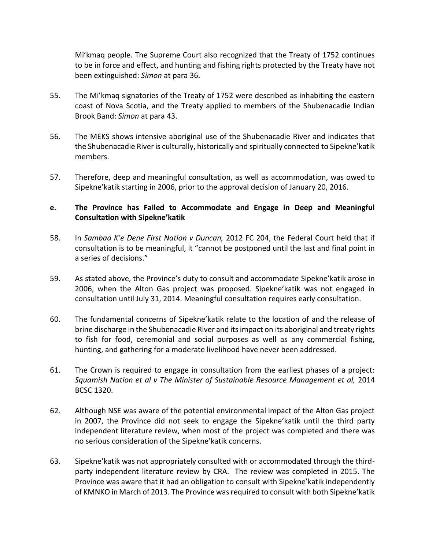Mi'kmaq people. The Supreme Court also recognized that the Treaty of 1752 continues to be in force and effect, and hunting and fishing rights protected by the Treaty have not been extinguished: *Simon* at para 36.

- 55. The Mi'kmaq signatories of the Treaty of 1752 were described as inhabiting the eastern coast of Nova Scotia, and the Treaty applied to members of the Shubenacadie Indian Brook Band: *Simon* at para 43.
- 56. The MEKS shows intensive aboriginal use of the Shubenacadie River and indicates that the Shubenacadie River is culturally, historically and spiritually connected to Sipekne'katik members.
- 57. Therefore, deep and meaningful consultation, as well as accommodation, was owed to Sipekne'katik starting in 2006, prior to the approval decision of January 20, 2016.

# **e. The Province has Failed to Accommodate and Engage in Deep and Meaningful Consultation with Sipekne'katik**

- 58. In *Sambaa K'e Dene First Nation v Duncan,* 2012 FC 204, the Federal Court held that if consultation is to be meaningful, it "cannot be postponed until the last and final point in a series of decisions."
- 59. As stated above, the Province's duty to consult and accommodate Sipekne'katik arose in 2006, when the Alton Gas project was proposed. Sipekne'katik was not engaged in consultation until July 31, 2014. Meaningful consultation requires early consultation.
- 60. The fundamental concerns of Sipekne'katik relate to the location of and the release of brine discharge in the Shubenacadie River and its impact on its aboriginal and treaty rights to fish for food, ceremonial and social purposes as well as any commercial fishing, hunting, and gathering for a moderate livelihood have never been addressed.
- 61. The Crown is required to engage in consultation from the earliest phases of a project: *Squamish Nation et al v The Minister of Sustainable Resource Management et al,* 2014 BCSC 1320.
- 62. Although NSE was aware of the potential environmental impact of the Alton Gas project in 2007, the Province did not seek to engage the Sipekne'katik until the third party independent literature review, when most of the project was completed and there was no serious consideration of the Sipekne'katik concerns.
- 63. Sipekne'katik was not appropriately consulted with or accommodated through the thirdparty independent literature review by CRA. The review was completed in 2015. The Province was aware that it had an obligation to consult with Sipekne'katik independently of KMNKO in March of 2013. The Province was required to consult with both Sipekne'katik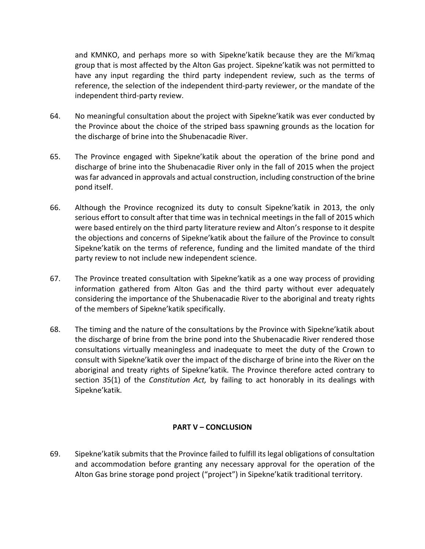and KMNKO, and perhaps more so with Sipekne'katik because they are the Mi'kmaq group that is most affected by the Alton Gas project. Sipekne'katik was not permitted to have any input regarding the third party independent review, such as the terms of reference, the selection of the independent third-party reviewer, or the mandate of the independent third-party review.

- 64. No meaningful consultation about the project with Sipekne'katik was ever conducted by the Province about the choice of the striped bass spawning grounds as the location for the discharge of brine into the Shubenacadie River.
- 65. The Province engaged with Sipekne'katik about the operation of the brine pond and discharge of brine into the Shubenacadie River only in the fall of 2015 when the project was far advanced in approvals and actual construction, including construction of the brine pond itself.
- 66. Although the Province recognized its duty to consult Sipekne'katik in 2013, the only serious effort to consult after that time was in technical meetings in the fall of 2015 which were based entirely on the third party literature review and Alton's response to it despite the objections and concerns of Sipekne'katik about the failure of the Province to consult Sipekne'katik on the terms of reference, funding and the limited mandate of the third party review to not include new independent science.
- 67. The Province treated consultation with Sipekne'katik as a one way process of providing information gathered from Alton Gas and the third party without ever adequately considering the importance of the Shubenacadie River to the aboriginal and treaty rights of the members of Sipekne'katik specifically.
- 68. The timing and the nature of the consultations by the Province with Sipekne'katik about the discharge of brine from the brine pond into the Shubenacadie River rendered those consultations virtually meaningless and inadequate to meet the duty of the Crown to consult with Sipekne'katik over the impact of the discharge of brine into the River on the aboriginal and treaty rights of Sipekne'katik. The Province therefore acted contrary to section 35(1) of the *Constitution Act,* by failing to act honorably in its dealings with Sipekne'katik.

# **PART V – CONCLUSION**

69. Sipekne'katik submits that the Province failed to fulfill its legal obligations of consultation and accommodation before granting any necessary approval for the operation of the Alton Gas brine storage pond project ("project") in Sipekne'katik traditional territory.